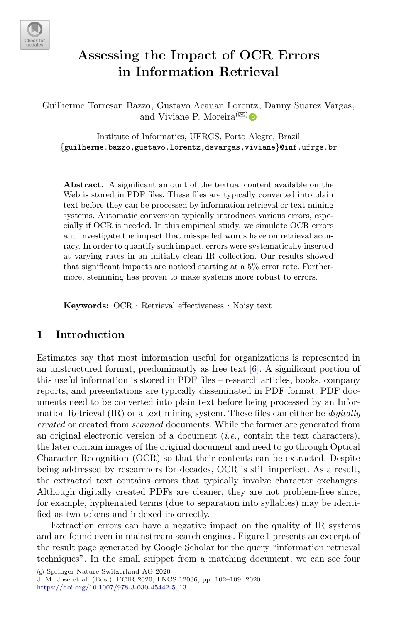

# **Assessing the Impact of OCR Errors in Information Retrieval**

Guilherme Torresan Bazzo, Gustavo Acauan Lorentz, Danny Suarez Vargas, and Viviane P. Moreira<sup>( $\boxtimes$ [\)](http://orcid.org/0000-0003-4400-054X)</sup>

Institute of Informatics, UFRGS, Porto Alegre, Brazil *{*guilherme.bazzo,gustavo.lorentz,dsvargas,viviane*}*@inf.ufrgs.br

**Abstract.** A significant amount of the textual content available on the Web is stored in PDF files. These files are typically converted into plain text before they can be processed by information retrieval or text mining systems. Automatic conversion typically introduces various errors, especially if OCR is needed. In this empirical study, we simulate OCR errors and investigate the impact that misspelled words have on retrieval accuracy. In order to quantify such impact, errors were systematically inserted at varying rates in an initially clean IR collection. Our results showed that significant impacts are noticed starting at a 5% error rate. Furthermore, stemming has proven to make systems more robust to errors.

**Keywords:** OCR · Retrieval effectiveness · Noisy text

#### **1 Introduction**

Estimates say that most information useful for organizations is represented in an unstructured format, predominantly as free text [\[6\]](#page-6-0). A significant portion of this useful information is stored in PDF files – research articles, books, company reports, and presentations are typically disseminated in PDF format. PDF documents need to be converted into plain text before being processed by an Information Retrieval (IR) or a text mining system. These files can either be *digitally created* or created from *scanned* documents. While the former are generated from an original electronic version of a document (*i.e.,* contain the text characters), the later contain images of the original document and need to go through Optical Character Recognition (OCR) so that their contents can be extracted. Despite being addressed by researchers for decades, OCR is still imperfect. As a result, the extracted text contains errors that typically involve character exchanges. Although digitally created PDFs are cleaner, they are not problem-free since, for example, hyphenated terms (due to separation into syllables) may be identified as two tokens and indexed incorrectly.

Extraction errors can have a negative impact on the quality of IR systems and are found even in mainstream search engines. Figure [1](#page-1-0) presents an excerpt of the result page generated by Google Scholar for the query "information retrieval techniques". In the small snippet from a matching document, we can see four

-c Springer Nature Switzerland AG 2020

J. M. Jose et al. (Eds.): ECIR 2020, LNCS 12036, pp. 102–109, 2020. [https://doi.org/10.1007/978-3-030-45442-5](https://doi.org/10.1007/978-3-030-45442-5_13)\_13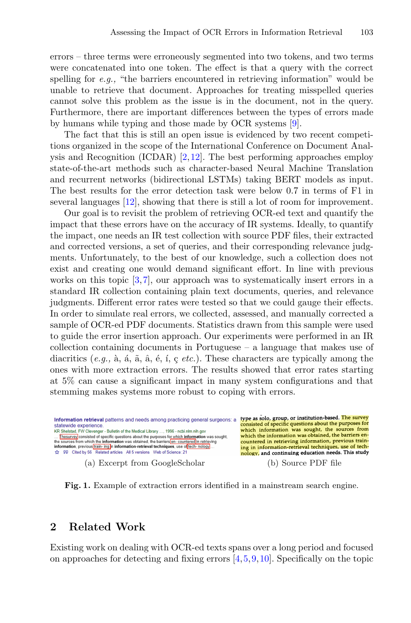errors – three terms were erroneously segmented into two tokens, and two terms were concatenated into one token. The effect is that a query with the correct spelling for *e.g.*, "the barriers encountered in retrieving information" would be unable to retrieve that document. Approaches for treating misspelled queries cannot solve this problem as the issue is in the document, not in the query. Furthermore, there are important differences between the types of errors made by humans while typing and those made by OCR systems [\[9](#page-6-1)].

The fact that this is still an open issue is evidenced by two recent competitions organized in the scope of the International Conference on Document Analysis and Recognition (ICDAR)  $[2,12]$  $[2,12]$  $[2,12]$ . The best performing approaches employ state-of-the-art methods such as character-based Neural Machine Translation and recurrent networks (bidirectional LSTMs) taking BERT models as input. The best results for the error detection task were below 0.7 in terms of F1 in several languages [\[12\]](#page-7-0), showing that there is still a lot of room for improvement.

Our goal is to revisit the problem of retrieving OCR-ed text and quantify the impact that these errors have on the accuracy of IR systems. Ideally, to quantify the impact, one needs an IR test collection with source PDF files, their extracted and corrected versions, a set of queries, and their corresponding relevance judgments. Unfortunately, to the best of our knowledge, such a collection does not exist and creating one would demand significant effort. In line with previous works on this topic [\[3](#page-6-3),[7\]](#page-6-4), our approach was to systematically insert errors in a standard IR collection containing plain text documents, queries, and relevance judgments. Different error rates were tested so that we could gauge their effects. In order to simulate real errors, we collected, assessed, and manually corrected a sample of OCR-ed PDF documents. Statistics drawn from this sample were used to guide the error insertion approach. Our experiments were performed in an IR collection containing documents in Portuguese – a language that makes use of diacritics  $(e,q, \dot{a}, \dot{a}, \ddot{a}, \ddot{a}, \dot{e}, \dot{f}, \dot{c} \text{ etc.})$ . These characters are typically among the ones with more extraction errors. The results showed that error rates starting at 5% can cause a significant impact in many system configurations and that stemming makes systems more robust to coping with errors.



<span id="page-1-0"></span>**Fig. 1.** Example of extraction errors identified in a mainstream search engine.

### **2 Related Work**

Existing work on dealing with OCR-ed texts spans over a long period and focused on approaches for detecting and fixing errors  $[4,5,9,10]$  $[4,5,9,10]$  $[4,5,9,10]$  $[4,5,9,10]$  $[4,5,9,10]$ . Specifically on the topic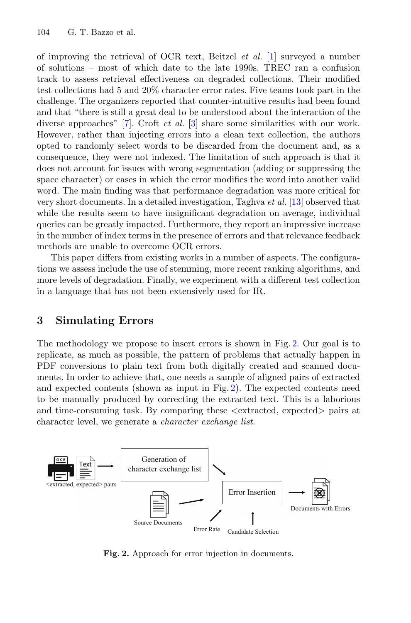of improving the retrieval of OCR text, Beitzel *et al.* [\[1](#page-6-7)] surveyed a number of solutions – most of which date to the late 1990s. TREC ran a confusion track to assess retrieval effectiveness on degraded collections. Their modified test collections had 5 and 20% character error rates. Five teams took part in the challenge. The organizers reported that counter-intuitive results had been found and that "there is still a great deal to be understood about the interaction of the diverse approaches" [\[7](#page-6-4)]. Croft *et al.* [\[3](#page-6-3)] share some similarities with our work. However, rather than injecting errors into a clean text collection, the authors opted to randomly select words to be discarded from the document and, as a consequence, they were not indexed. The limitation of such approach is that it does not account for issues with wrong segmentation (adding or suppressing the space character) or cases in which the error modifies the word into another valid word. The main finding was that performance degradation was more critical for very short documents. In a detailed investigation, Taghva *et al.* [\[13\]](#page-7-2) observed that while the results seem to have insignificant degradation on average, individual queries can be greatly impacted. Furthermore, they report an impressive increase in the number of index terms in the presence of errors and that relevance feedback methods are unable to overcome OCR errors.

This paper differs from existing works in a number of aspects. The configurations we assess include the use of stemming, more recent ranking algorithms, and more levels of degradation. Finally, we experiment with a different test collection in a language that has not been extensively used for IR.

#### <span id="page-2-1"></span>**3 Simulating Errors**

The methodology we propose to insert errors is shown in Fig. [2.](#page-2-0) Our goal is to replicate, as much as possible, the pattern of problems that actually happen in PDF conversions to plain text from both digitally created and scanned documents. In order to achieve that, one needs a sample of aligned pairs of extracted and expected contents (shown as input in Fig. [2\)](#page-2-0). The expected contents need to be manually produced by correcting the extracted text. This is a laborious and time-consuming task. By comparing these *<*extracted, expected*>* pairs at character level, we generate a *character exchange list*.



<span id="page-2-0"></span>**Fig. 2.** Approach for error injection in documents.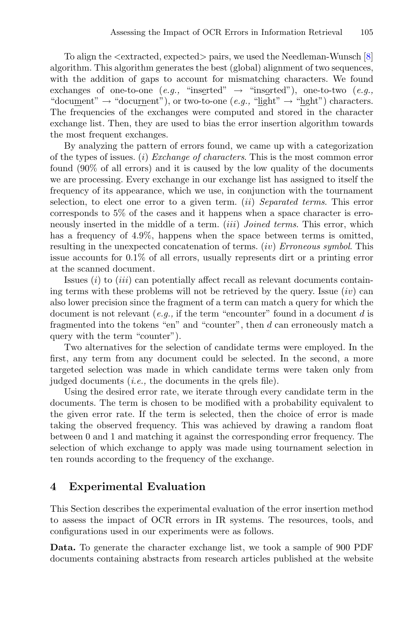To align the *<*extracted, expected*>* pairs, we used the Needleman-Wunsch [\[8\]](#page-6-8) algorithm. This algorithm generates the best (global) alignment of two sequences, with the addition of gaps to account for mismatching characters. We found exchanges of one-to-one  $(e.g.,$  "inserted"  $\rightarrow$  "insorted"), one-to-two  $(e.g.,$ "document"  $\rightarrow$  "docurnent"), or two-to-one (*e.g.*, "light"  $\rightarrow$  "hght") characters. The frequencies of the exchanges were computed and stored in the character exchange list. Then, they are used to bias the error insertion algorithm towards the most frequent exchanges.

By analyzing the pattern of errors found, we came up with a categorization of the types of issues. (*i*) *Exchange of characters*. This is the most common error found (90% of all errors) and it is caused by the low quality of the documents we are processing. Every exchange in our exchange list has assigned to itself the frequency of its appearance, which we use, in conjunction with the tournament selection, to elect one error to a given term. (*ii*) *Separated terms*. This error corresponds to 5% of the cases and it happens when a space character is erroneously inserted in the middle of a term. (*iii*) *Joined terms*. This error, which has a frequency of 4.9%, happens when the space between terms is omitted, resulting in the unexpected concatenation of terms. (*iv*) *Erroneous symbol*. This issue accounts for 0.1% of all errors, usually represents dirt or a printing error at the scanned document.

Issues (*i*) to (*iii*) can potentially affect recall as relevant documents containing terms with these problems will not be retrieved by the query. Issue (*iv*) can also lower precision since the fragment of a term can match a query for which the document is not relevant (*e.g.,* if the term "encounter" found in a document *d* is fragmented into the tokens "en" and "counter", then *d* can erroneously match a query with the term "counter").

Two alternatives for the selection of candidate terms were employed. In the first, any term from any document could be selected. In the second, a more targeted selection was made in which candidate terms were taken only from judged documents (*i.e.,* the documents in the qrels file).

Using the desired error rate, we iterate through every candidate term in the documents. The term is chosen to be modified with a probability equivalent to the given error rate. If the term is selected, then the choice of error is made taking the observed frequency. This was achieved by drawing a random float between 0 and 1 and matching it against the corresponding error frequency. The selection of which exchange to apply was made using tournament selection in ten rounds according to the frequency of the exchange.

### **4 Experimental Evaluation**

This Section describes the experimental evaluation of the error insertion method to assess the impact of OCR errors in IR systems. The resources, tools, and configurations used in our experiments were as follows.

**Data.** To generate the character exchange list, we took a sample of 900 PDF documents containing abstracts from research articles published at the website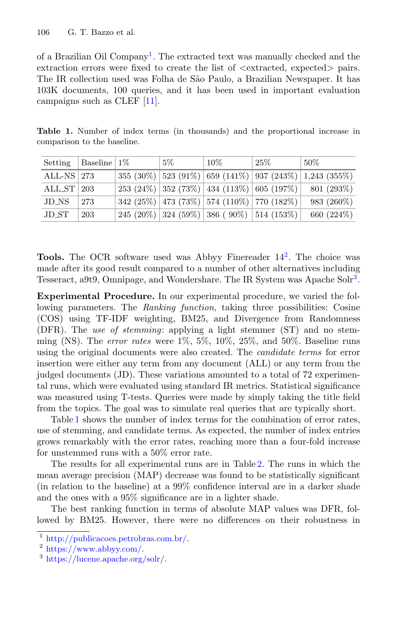of a Brazilian Oil Company<sup>[1](#page-4-0)</sup>. The extracted text was manually checked and the extraction errors were fixed to create the list of *<*extracted, expected*>* pairs. The IR collection used was Folha de S˜ao Paulo, a Brazilian Newspaper. It has 103K documents, 100 queries, and it has been used in important evaluation campaigns such as CLEF [\[11\]](#page-7-3).

<span id="page-4-3"></span>**Table 1.** Number of index terms (in thousands) and the proportional increase in comparison to the baseline.

|                | Setting   Baseline   $1\%$ | $5\%$ | $10\%$                                          | 25% | 50%                                                         |
|----------------|----------------------------|-------|-------------------------------------------------|-----|-------------------------------------------------------------|
| ALL-NS $ 273 $ |                            |       |                                                 |     | 355 (30%) [523 (91%) [659 (141%) [937 (243%) [1,243 (355%)] |
| ALL_ST $ 203 $ |                            |       |                                                 |     | 253 (24%) 352 (73%) 434 (113%) 605 (197%) 801 (293%)        |
| JD_NS          | $\sqrt{273}$               |       | 342 (25%)   473 (73%)   574 (110%)   770 (182%) |     | 983 (260\%)                                                 |
| $JD\_ST$       | 203                        |       | $245 (20\%)$ 324 (59%) 386 (90%) 514 (153%)     |     | 660 (224\%)                                                 |

**Tools.** The OCR software used was Abbyy Finereader  $14^2$  $14^2$ . The choice was made after its good result compared to a number of other alternatives including Tesseract, a9t9, Omnipage, and Wondershare. The IR System was Apache Solr[3](#page-4-2).

**Experimental Procedure.** In our experimental procedure, we varied the following parameters. The *Ranking function*, taking three possibilities: Cosine (COS) using TF-IDF weighting, BM25, and Divergence from Randomness (DFR). The *use of stemming*: applying a light stemmer (ST) and no stemming (NS). The *error rates* were 1%, 5%, 10%, 25%, and 50%. Baseline runs using the original documents were also created. The *candidate terms* for error insertion were either any term from any document (ALL) or any term from the judged documents (JD). These variations amounted to a total of 72 experimental runs, which were evaluated using standard IR metrics. Statistical significance was measured using T-tests. Queries were made by simply taking the title field from the topics. The goal was to simulate real queries that are typically short.

Table [1](#page-4-3) shows the number of index terms for the combination of error rates, use of stemming, and candidate terms. As expected, the number of index entries grows remarkably with the error rates, reaching more than a four-fold increase for unstemmed runs with a 50% error rate.

The results for all experimental runs are in Table [2.](#page-5-0) The runs in which the mean average precision (MAP) decrease was found to be statistically significant (in relation to the baseline) at a 99% confidence interval are in a darker shade and the ones with a 95% significance are in a lighter shade.

The best ranking function in terms of absolute MAP values was DFR, followed by BM25. However, there were no differences on their robustness in

<span id="page-4-0"></span> $^{\rm 1}$ [http://publicacoes.petrobras.com.br/.](http://publicacoes.petrobras.com.br/)

<span id="page-4-1"></span> $2 \text{ https://www.abbyy.com/}.$ 

<span id="page-4-2"></span><sup>3</sup> [https://lucene.apache.org/solr/.](https://lucene.apache.org/solr/)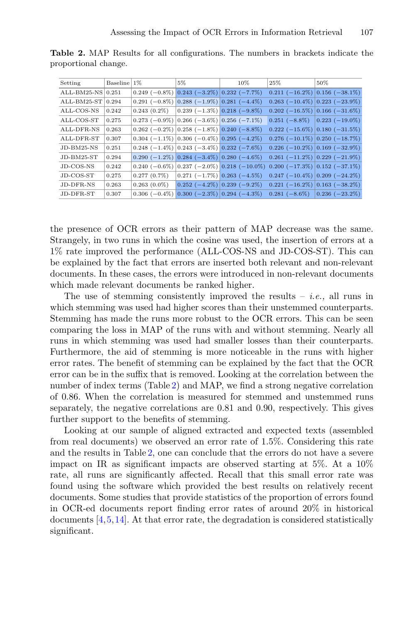| Setting              | Baseline | $1\%$           | $5\%$                                              | $10\%$                                       | 25%                             | 50%                                 |
|----------------------|----------|-----------------|----------------------------------------------------|----------------------------------------------|---------------------------------|-------------------------------------|
| ALL-BM25-NS          | 0.251    | $0.249(-0.8\%)$ | $\left  0.243 \ (-3.2\%) \right  0.232 \ (-7.7\%)$ |                                              |                                 | $0.211 (-16.2\%)   0.156 (-38.1\%)$ |
| ALL-BM25-ST          | 0.294    |                 | $0.291 (-0.8\%)$ 0.288 (-1.9%) 0.281 (-4.4%)       |                                              |                                 | $0.263$ (-10.4\%) 0.223 (-23.9\%)   |
| ALL-COS-NS           | 0.242    | $0.243(0.2\%)$  | $0.239(-1.3\%)$ 0.218 (-9.8%)                      |                                              | $0.202$ (-16.5%) 0.166 (-31.6%) |                                     |
| ALL-COS-ST           | 0.275    |                 | $0.273$ (-0.9%) 0.266 (-3.6%) 0.256 (-7.1%)        |                                              | $0.251(-8.8\%)$                 | $(0.223(-19.0\%)$                   |
| ALL-DFR-NS           | 0.263    |                 | $0.262$ (-0.2%) 0.258 (-1.8%) 0.240 (-8.8%)        |                                              |                                 | $0.222 (-15.6\%)   0.180 (-31.5\%)$ |
| ALL-DFR-ST           | 0.307    |                 | $0.304$ (-1.1\%) 0.306 (-0.4\%) 0.295 (-4.2\%)     |                                              | $0.276$ (-10.1%) 0.250 (-18.7%) |                                     |
| $JD$ - $BM25$ - $NS$ | 0.251    |                 | $0.248$ (-1.4%) $0.243$ (-3.4%) 0.232 (-7.6%)      |                                              | $0.226$ (-10.2%) 0.169 (-32.9%) |                                     |
| JD-BM25-ST           | 0.294    |                 | $0.290$ (-1.2%) $0.284$ (-3.4%) 0.280 (-4.6%)      |                                              |                                 | $0.261$ (-11.2%) 0.229 (-21.9%)     |
| JD-COS-NS            | 0.242    |                 |                                                    | $0.240$ (-0.6%) 0.237 (-2.0%) 0.218 (-10.0%) |                                 | $0.200$ (-17.3%) 0.152 (-37.1%)     |
| JD-COS-ST            | 0.275    | $0.277(0.7\%)$  | $0.271(-1.7\%)$ 0.263 (-4.5%)                      |                                              | $0.247$ (-10.4%) 0.209 (-24.2%) |                                     |
| JD-DFR-NS            | 0.263    | $0.263(0.0\%)$  |                                                    | $0.252$ (-4.2%) 0.239 (-9.2%)                |                                 | $0.221 (-16.2\%)   0.163 (-38.2\%)$ |
| JD-DFR-ST            | 0.307    | $0.306(-0.4\%)$ | $(0.300 (-2.3\%) (0.294 (-4.3\%)$                  |                                              | $0.281 (-8.6\%)$                | $0.236(-23.2\%)$                    |

<span id="page-5-0"></span>**Table 2.** MAP Results for all configurations. The numbers in brackets indicate the proportional change.

the presence of OCR errors as their pattern of MAP decrease was the same. Strangely, in two runs in which the cosine was used, the insertion of errors at a 1% rate improved the performance (ALL-COS-NS and JD-COS-ST). This can be explained by the fact that errors are inserted both relevant and non-relevant documents. In these cases, the errors were introduced in non-relevant documents which made relevant documents be ranked higher.

The use of stemming consistently improved the results  $- i.e.,$  all runs in which stemming was used had higher scores than their unstemmed counterparts. Stemming has made the runs more robust to the OCR errors. This can be seen comparing the loss in MAP of the runs with and without stemming. Nearly all runs in which stemming was used had smaller losses than their counterparts. Furthermore, the aid of stemming is more noticeable in the runs with higher error rates. The benefit of stemming can be explained by the fact that the OCR error can be in the suffix that is removed. Looking at the correlation between the number of index terms (Table [2\)](#page-5-0) and MAP, we find a strong negative correlation of 0.86. When the correlation is measured for stemmed and unstemmed runs separately, the negative correlations are 0.81 and 0.90, respectively. This gives further support to the benefits of stemming.

Looking at our sample of aligned extracted and expected texts (assembled from real documents) we observed an error rate of 1.5%. Considering this rate and the results in Table [2,](#page-5-0) one can conclude that the errors do not have a severe impact on IR as significant impacts are observed starting at 5%. At a 10% rate, all runs are significantly affected. Recall that this small error rate was found using the software which provided the best results on relatively recent documents. Some studies that provide statistics of the proportion of errors found in OCR-ed documents report finding error rates of around 20% in historical documents [\[4](#page-6-5)[,5](#page-6-6),[14\]](#page-7-4). At that error rate, the degradation is considered statistically significant.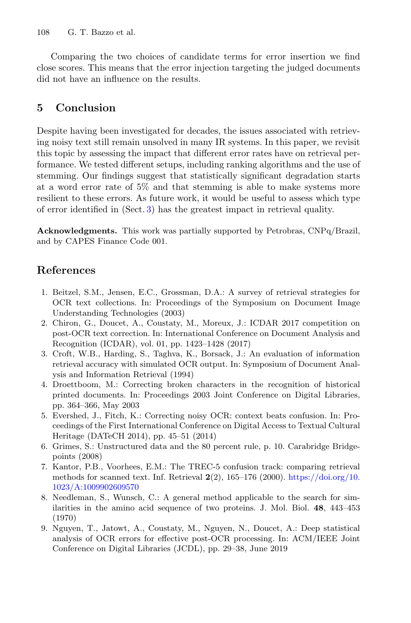Comparing the two choices of candidate terms for error insertion we find close scores. This means that the error injection targeting the judged documents did not have an influence on the results.

## **5 Conclusion**

Despite having been investigated for decades, the issues associated with retrieving noisy text still remain unsolved in many IR systems. In this paper, we revisit this topic by assessing the impact that different error rates have on retrieval performance. We tested different setups, including ranking algorithms and the use of stemming. Our findings suggest that statistically significant degradation starts at a word error rate of 5% and that stemming is able to make systems more resilient to these errors. As future work, it would be useful to assess which type of error identified in (Sect. [3\)](#page-2-1) has the greatest impact in retrieval quality.

**Acknowledgments.** This work was partially supported by Petrobras, CNPq/Brazil, and by CAPES Finance Code 001.

# **References**

- <span id="page-6-7"></span>1. Beitzel, S.M., Jensen, E.C., Grossman, D.A.: A survey of retrieval strategies for OCR text collections. In: Proceedings of the Symposium on Document Image Understanding Technologies (2003)
- <span id="page-6-2"></span>2. Chiron, G., Doucet, A., Coustaty, M., Moreux, J.: ICDAR 2017 competition on post-OCR text correction. In: International Conference on Document Analysis and Recognition (ICDAR), vol. 01, pp. 1423–1428 (2017)
- <span id="page-6-3"></span>3. Croft, W.B., Harding, S., Taghva, K., Borsack, J.: An evaluation of information retrieval accuracy with simulated OCR output. In: Symposium of Document Analysis and Information Retrieval (1994)
- <span id="page-6-5"></span>4. Droettboom, M.: Correcting broken characters in the recognition of historical printed documents. In: Proceedings 2003 Joint Conference on Digital Libraries, pp. 364–366, May 2003
- <span id="page-6-6"></span>5. Evershed, J., Fitch, K.: Correcting noisy OCR: context beats confusion. In: Proceedings of the First International Conference on Digital Access to Textual Cultural Heritage (DATeCH 2014), pp. 45–51 (2014)
- <span id="page-6-0"></span>6. Grimes, S.: Unstructured data and the 80 percent rule, p. 10. Carabridge Bridgepoints (2008)
- <span id="page-6-4"></span>7. Kantor, P.B., Voorhees, E.M.: The TREC-5 confusion track: comparing retrieval methods for scanned text. Inf. Retrieval **2**(2), 165–176 (2000). [https://doi.org/10.](https://doi.org/10.1023/A:1009902609570) [1023/A:1009902609570](https://doi.org/10.1023/A:1009902609570)
- <span id="page-6-8"></span>8. Needleman, S., Wunsch, C.: A general method applicable to the search for similarities in the amino acid sequence of two proteins. J. Mol. Biol. **48**, 443–453 (1970)
- <span id="page-6-1"></span>9. Nguyen, T., Jatowt, A., Coustaty, M., Nguyen, N., Doucet, A.: Deep statistical analysis of OCR errors for effective post-OCR processing. In: ACM/IEEE Joint Conference on Digital Libraries (JCDL), pp. 29–38, June 2019